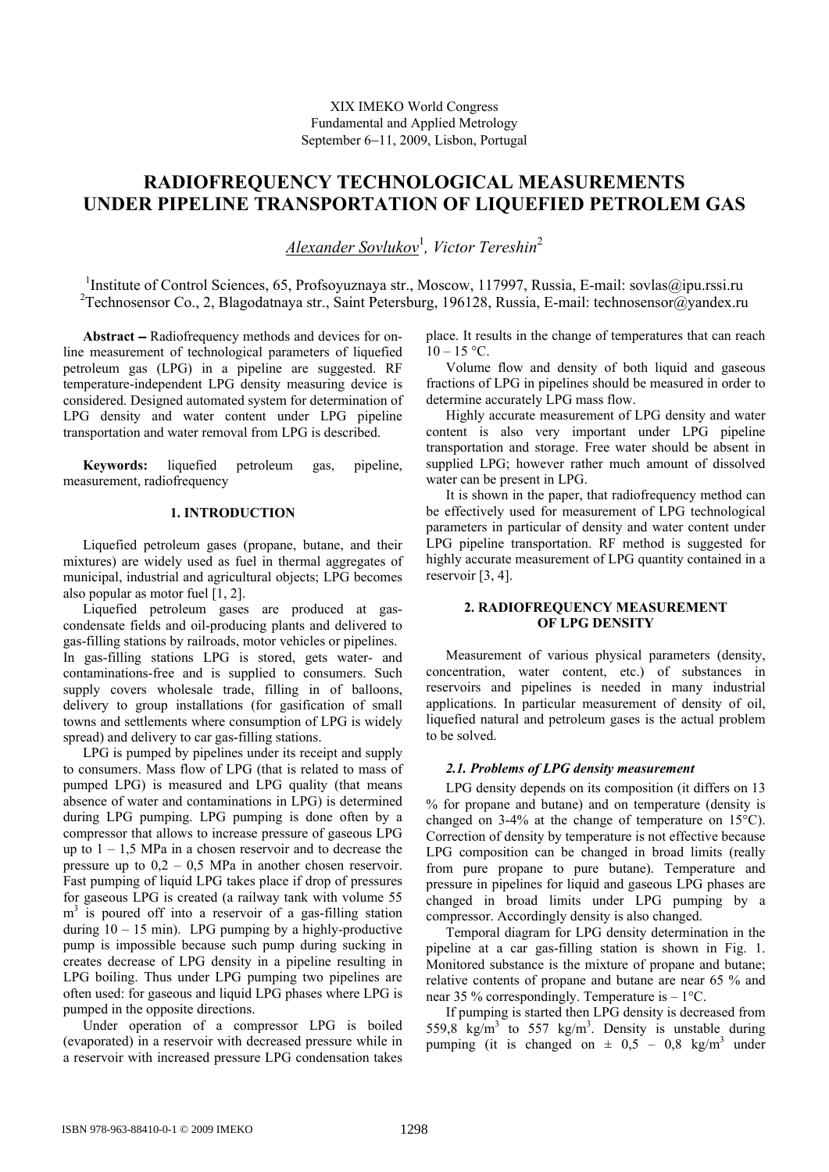# **RADIOFREQUENCY TECHNOLOGICAL MEASUREMENTS UNDER PIPELINE TRANSPORTATION OF LIQUEFIED PETROLEM GAS**

*Alexander Sovlukov*<sup>1</sup> *, Victor Tereshin*<sup>2</sup>

<sup>1</sup>Institute of Control Sciences, 65, Profsoyuznaya str., Moscow, 117997, Russia, E-mail: sovlas@ipu.rssi.ru <sup>2</sup>Technosensor Co., 2, Blagodatnaya str., Saint Petersburg, 196128, Russia, E-mail: technosensor@yandex.ru

**Abstract** − Radiofrequency methods and devices for online measurement of technological parameters of liquefied petroleum gas (LPG) in a pipeline are suggested. RF temperature-independent LPG density measuring device is considered. Designed automated system for determination of LPG density and water content under LPG pipeline transportation and water removal from LPG is described.

**Keywords:** liquefied petroleum gas, pipeline, measurement, radiofrequency

## **1. INTRODUCTION**

Liquefied petroleum gases (propane, butane, and their mixtures) are widely used as fuel in thermal aggregates of municipal, industrial and agricultural objects; LPG becomes also popular as motor fuel [1, 2].

Liquefied petroleum gases are produced at gascondensate fields and oil-producing plants and delivered to gas-filling stations by railroads, motor vehicles or pipelines. In gas-filling stations LPG is stored, gets water- and contaminations-free and is supplied to consumers. Such supply covers wholesale trade, filling in of balloons, delivery to group installations (for gasification of small towns and settlements where consumption of LPG is widely spread) and delivery to car gas-filling stations.

LPG is pumped by pipelines under its receipt and supply to consumers. Mass flow of LPG (that is related to mass of pumped LPG) is measured and LPG quality (that means absence of water and contaminations in LPG) is determined during LPG pumping. LPG pumping is done often by a compressor that allows to increase pressure of gaseous LPG up to  $1 - 1.5$  MPa in a chosen reservoir and to decrease the pressure up to  $0.2 - 0.5$  MPa in another chosen reservoir. Fast pumping of liquid LPG takes place if drop of pressures for gaseous LPG is created (a railway tank with volume 55 m<sup>3</sup> is poured off into a reservoir of a gas-filling station during  $10 - 15$  min). LPG pumping by a highly-productive pump is impossible because such pump during sucking in creates decrease of LPG density in a pipeline resulting in LPG boiling. Thus under LPG pumping two pipelines are often used: for gaseous and liquid LPG phases where LPG is pumped in the opposite directions.

Under operation of a compressor LPG is boiled (evaporated) in a reservoir with decreased pressure while in a reservoir with increased pressure LPG condensation takes

place. It results in the change of temperatures that can reach  $10 - 15$  °C.

Volume flow and density of both liquid and gaseous fractions of LPG in pipelines should be measured in order to determine accurately LPG mass flow.

Highly accurate measurement of LPG density and water content is also very important under LPG pipeline transportation and storage. Free water should be absent in supplied LPG; however rather much amount of dissolved water can be present in LPG.

It is shown in the paper, that radiofrequency method can be effectively used for measurement of LPG technological parameters in particular of density and water content under LPG pipeline transportation. RF method is suggested for highly accurate measurement of LPG quantity contained in a reservoir [3, 4].

# **2. RADIOFREQUENCY MEASUREMENT OF LPG DENSITY**

Measurement of various physical parameters (density, concentration, water content, etc.) of substances in reservoirs and pipelines is needed in many industrial applications. In particular measurement of density of oil, liquefied natural and petroleum gases is the actual problem to be solved.

# *2.1. Problems of LPG density measurement*

LPG density depends on its composition (it differs on 13 % for propane and butane) and on temperature (density is changed on 3-4% at the change of temperature on 15°С). Correction of density by temperature is not effective because LPG composition can be changed in broad limits (really from pure propane to pure butane). Temperature and pressure in pipelines for liquid and gaseous LPG phases are changed in broad limits under LPG pumping by a compressor. Accordingly density is also changed.

Temporal diagram for LPG density determination in the pipeline at a car gas-filling station is shown in Fig. 1. Monitored substance is the mixture of propane and butane; relative contents of propane and butane are near 65 % and near 35 % correspondingly. Temperature is – 1°С.

If pumping is started then LPG density is decreased from 559,8  $kg/m<sup>3</sup>$  to 557 kg/m<sup>3</sup>. Density is unstable during pumping (it is changed on  $\pm$  0,5 – 0,8 kg/m<sup>3</sup> under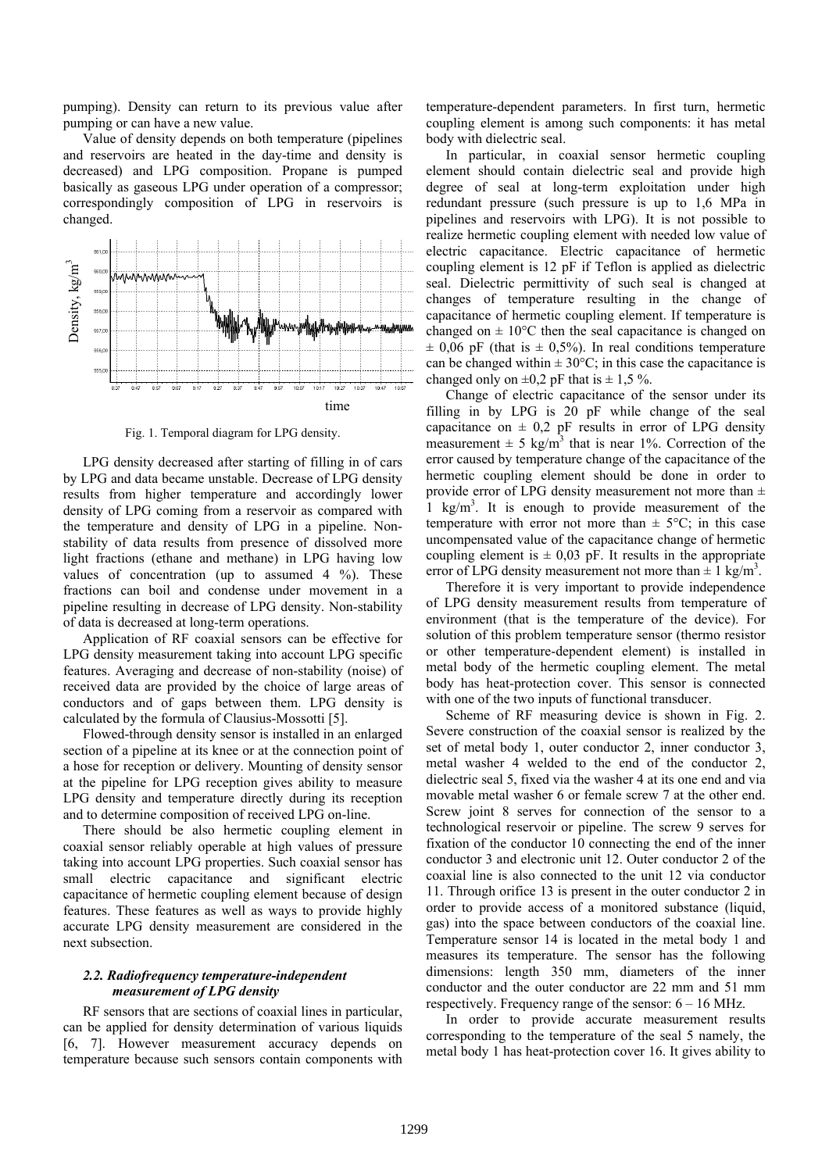pumping). Density can return to its previous value after pumping or can have a new value.

Value of density depends on both temperature (pipelines and reservoirs are heated in the day-time and density is decreased) and LPG composition. Propane is pumped basically as gaseous LPG under operation of a compressor; correspondingly composition of LPG in reservoirs is changed.



Fig. 1. Temporal diagram for LPG density.

LPG density decreased after starting of filling in of cars by LPG and data became unstable. Decrease of LPG density results from higher temperature and accordingly lower density of LPG coming from a reservoir as compared with the temperature and density of LPG in a pipeline. Nonstability of data results from presence of dissolved more light fractions (ethane and methane) in LPG having low values of concentration (up to assumed  $4\%$ ). These fractions can boil and condense under movement in a pipeline resulting in decrease of LPG density. Non-stability of data is decreased at long-term operations.

Application of RF coaxial sensors can be effective for LPG density measurement taking into account LPG specific features. Averaging and decrease of non-stability (noise) of received data are provided by the choice of large areas of conductors and of gaps between them. LPG density is calculated by the formula of Clausius-Mossotti [5].

Flowed-through density sensor is installed in an enlarged section of a pipeline at its knee or at the connection point of a hose for reception or delivery. Mounting of density sensor at the pipeline for LPG reception gives ability to measure LPG density and temperature directly during its reception and to determine composition of received LPG on-line.

There should be also hermetic coupling element in coaxial sensor reliably operable at high values of pressure taking into account LPG properties. Such coaxial sensor has small electric capacitance and significant electric capacitance of hermetic coupling element because of design features. These features as well as ways to provide highly accurate LPG density measurement are considered in the next subsection.

#### *2.2. Radiofrequency temperature-independent measurement of LPG density*

RF sensors that are sections of coaxial lines in particular, can be applied for density determination of various liquids [6, 7]. However measurement accuracy depends on temperature because such sensors contain components with temperature-dependent parameters. In first turn, hermetic coupling element is among such components: it has metal body with dielectric seal.

In particular, in coaxial sensor hermetic coupling element should contain dielectric seal and provide high degree of seal at long-term exploitation under high redundant pressure (such pressure is up to 1,6 MPa in pipelines and reservoirs with LPG). It is not possible to realize hermetic coupling element with needed low value of electric capacitance. Electric capacitance of hermetic coupling element is 12 pF if Teflon is applied as dielectric seal. Dielectric permittivity of such seal is changed at changes of temperature resulting in the change of capacitance of hermetic coupling element. If temperature is changed on  $\pm 10^{\circ}$ C then the seal capacitance is changed on  $\pm$  0,06 pF (that is  $\pm$  0,5%). In real conditions temperature can be changed within  $\pm 30^{\circ}$ C; in this case the capacitance is changed only on  $\pm 0.2$  pF that is  $\pm 1.5$  %.

Change of electric capacitance of the sensor under its filling in by LPG is 20 pF while change of the seal capacitance on  $\pm$  0,2 pF results in error of LPG density measurement  $\pm$  5 kg/m<sup>3</sup> that is near 1%. Correction of the error caused by temperature change of the capacitance of the hermetic coupling element should be done in order to provide error of LPG density measurement not more than  $\pm$  $1 \text{ kg/m}^3$ . It is enough to provide measurement of the temperature with error not more than  $\pm$  5°C; in this case uncompensated value of the capacitance change of hermetic coupling element is  $\pm$  0,03 pF. It results in the appropriate error of LPG density measurement not more than  $\pm 1$  kg/m<sup>3</sup>.

Therefore it is very important to provide independence of LPG density measurement results from temperature of environment (that is the temperature of the device). For solution of this problem temperature sensor (thermo resistor or other temperature-dependent element) is installed in metal body of the hermetic coupling element. The metal body has heat-protection cover. This sensor is connected with one of the two inputs of functional transducer.

Scheme of RF measuring device is shown in Fig. 2. Severe construction of the coaxial sensor is realized by the set of metal body 1, outer conductor 2, inner conductor 3, metal washer 4 welded to the end of the conductor 2, dielectric seal 5, fixed via the washer 4 at its one end and via movable metal washer 6 or female screw 7 at the other end. Screw joint 8 serves for connection of the sensor to a technological reservoir or pipeline. The screw 9 serves for fixation of the conductor 10 connecting the end of the inner conductor 3 and electronic unit 12. Outer conductor 2 of the coaxial line is also connected to the unit 12 via conductor 11. Through orifice 13 is present in the outer conductor 2 in order to provide access of a monitored substance (liquid, gas) into the space between conductors of the coaxial line. Temperature sensor 14 is located in the metal body 1 and measures its temperature. The sensor has the following dimensions: length 350 mm, diameters of the inner conductor and the outer conductor are 22 mm and 51 mm respectively. Frequency range of the sensor:  $6 - 16$  MHz.

In order to provide accurate measurement results corresponding to the temperature of the seal 5 namely, the metal body 1 has heat-protection cover 16. It gives ability to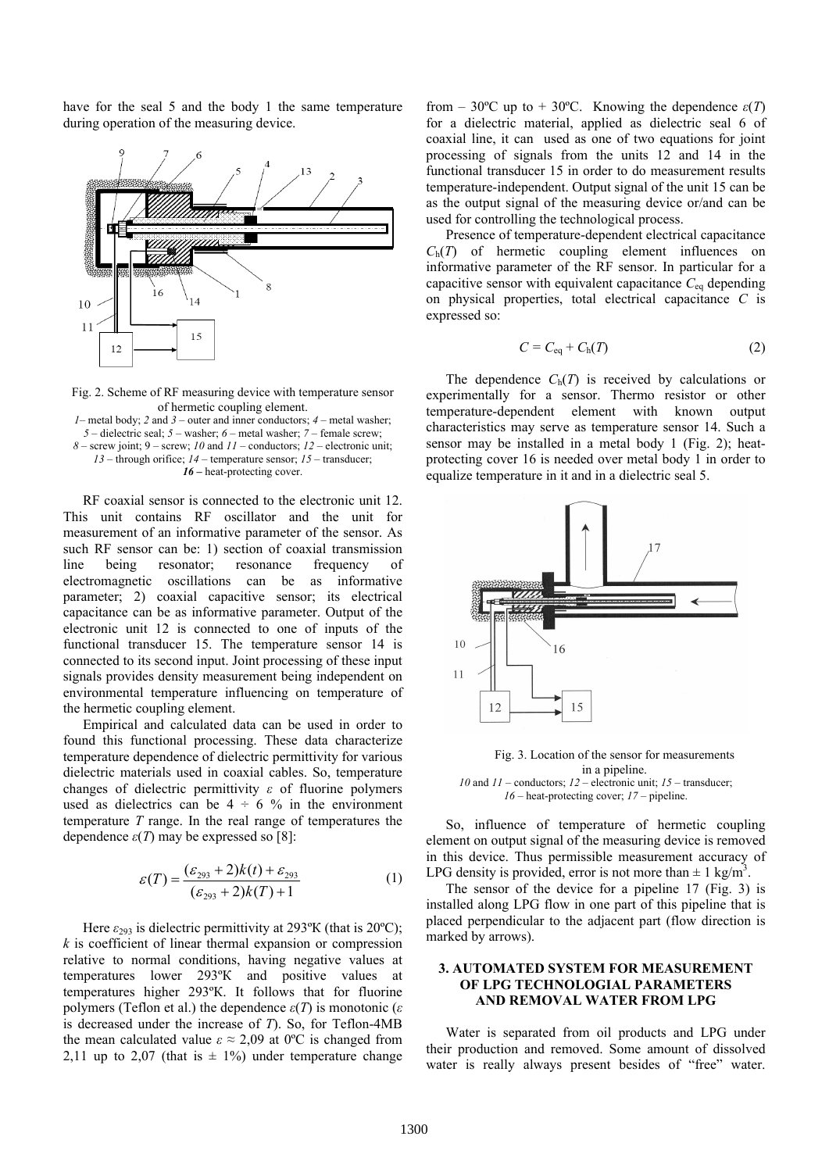have for the seal 5 and the body 1 the same temperature during operation of the measuring device.



Fig. 2. Scheme of RF measuring device with temperature sensor of hermetic coupling element.

– metal body; *2* and *3* – outer and inner conductors; *4* – metal washer; – dielectric seal; *5* – washer; *6* – metal washer; *7* – female screw; – screw joint; 9 – screw; *10* and *11* – conductors; *12* – electronic unit; – through orifice; *14* – temperature sensor; *15* – transducer; 16 – heat-protecting cover.

RF coaxial sensor is connected to the electronic unit 12. This unit contains RF oscillator and the unit for measurement of an informative parameter of the sensor. As such RF sensor can be: 1) section of coaxial transmission line being resonator; resonance frequency of electromagnetic oscillations can be as informative parameter; 2) coaxial capacitive sensor; its electrical capacitance can be as informative parameter. Output of the electronic unit 12 is connected to one of inputs of the functional transducer 15. The temperature sensor 14 is connected to its second input. Joint processing of these input signals provides density measurement being independent on environmental temperature influencing on temperature of the hermetic coupling element.

Empirical and calculated data can be used in order to found this functional processing. These data characterize temperature dependence of dielectric permittivity for various dielectric materials used in coaxial cables. So, temperature changes of dielectric permittivity *ε* of fluorine polymers used as dielectrics can be  $4 \div 6 \%$  in the environment temperature *Т* range. In the real range of temperatures the dependence  $\varepsilon(T)$  may be expressed so [8]:

$$
\mathcal{E}(T) = \frac{(\mathcal{E}_{293} + 2)k(t) + \mathcal{E}_{293}}{(\mathcal{E}_{293} + 2)k(T) + 1}
$$
 (1)

Here *ε*<sub>293</sub> is dielectric permittivity at 293<sup>o</sup>K (that is 20<sup>o</sup>C); *k* is coefficient of linear thermal expansion or compression relative to normal conditions, having negative values at temperatures lower 293ºК and positive values at temperatures higher 293ºК. It follows that for fluorine polymers (Teflon et al.) the dependence  $ε(T)$  is monotonic ( $ε$ is decreased under the increase of *Т*). So, for Teflon-4MB the mean calculated value  $\varepsilon \approx 2.09$  at 0°C is changed from 2,11 up to 2,07 (that is  $\pm$  1%) under temperature change

from – 30°C up to + 30°C. Knowing the dependence  $\varepsilon(T)$ for a dielectric material, applied as dielectric seal 6 of coaxial line, it can used as one of two equations for joint processing of signals from the units 12 and 14 in the functional transducer 15 in order to do measurement results temperature-independent. Output signal of the unit 15 can be as the output signal of the measuring device or/and can be used for controlling the technological process.

Presence of temperature-dependent electrical capacitance *С*h(*Т*) of hermetic coupling element influences on informative parameter of the RF sensor. In particular for a capacitive sensor with equivalent capacitance  $C_{eq}$  depending on physical properties, total electrical capacitance *C* is expressed so:

$$
C = C_{\text{eq}} + C_{\text{h}}(T) \tag{2}
$$

The dependence  $C_h(T)$  is received by calculations or experimentally for a sensor. Thermo resistor or other temperature-dependent element with known output characteristics may serve as temperature sensor 14. Such a sensor may be installed in a metal body 1 (Fig. 2); heatprotecting cover 16 is needed over metal body 1 in order to equalize temperature in it and in a dielectric seal 5.



Fig. 3. Location of the sensor for measurements in a pipeline. *10* and *11* – conductors; *12* – electronic unit; *15* – transducer; *16* – heat-protecting cover; *17* – pipeline.

So, influence of temperature of hermetic coupling element on output signal of the measuring device is removed in this device. Thus permissible measurement accuracy of LPG density is provided, error is not more than  $\pm 1$  kg/m<sup>3</sup>.

The sensor of the device for a pipeline 17 (Fig. 3) is installed along LPG flow in one part of this pipeline that is placed perpendicular to the adjacent part (flow direction is marked by arrows).

## **3. AUTOMATED SYSTEM FOR MEASUREMENT OF LPG TECHNOLOGIAL PARAMETERS AND REMOVAL WATER FROM LPG**

Water is separated from oil products and LPG under their production and removed. Some amount of dissolved water is really always present besides of "free" water.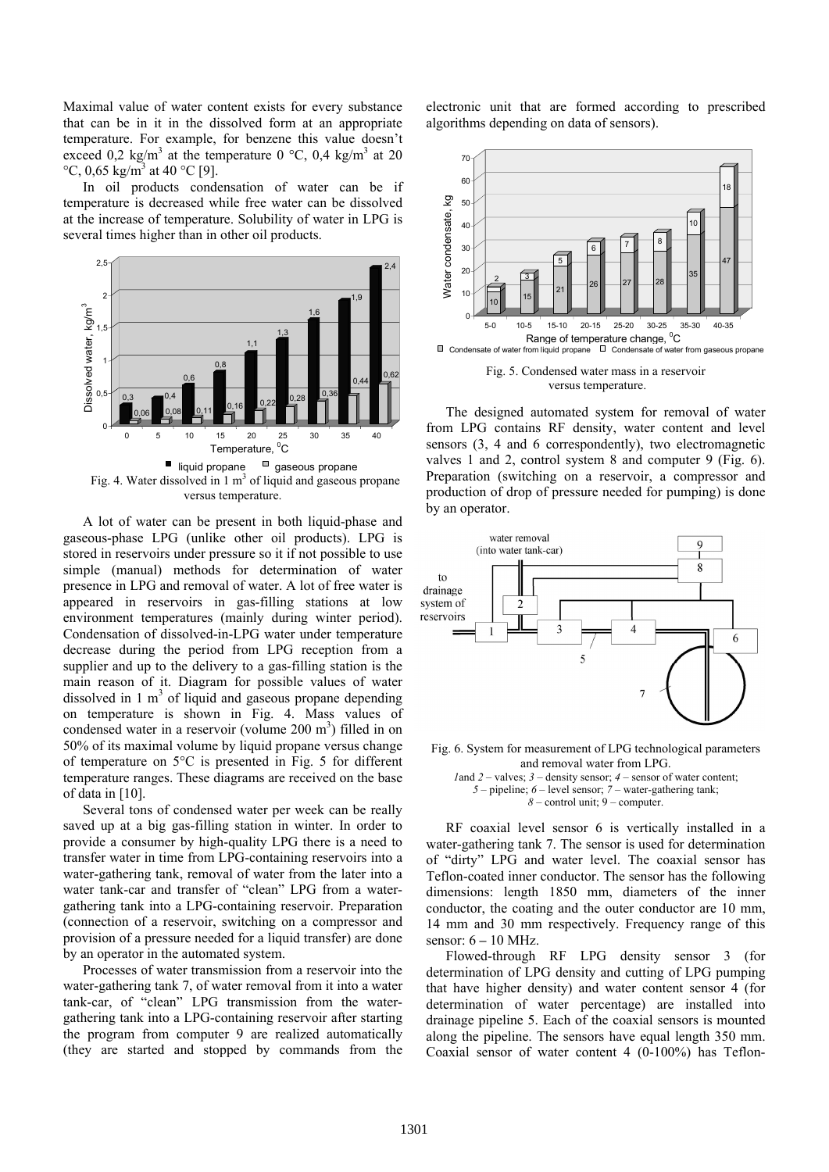Maximal value of water content exists for every substance that can be in it in the dissolved form at an appropriate temperature. For example, for benzene this value doesn't exceed 0,2 kg/m<sup>3</sup> at the temperature 0 °C, 0,4 kg/m<sup>3</sup> at 20 °C, 0,65 kg/m<sup>3</sup> at 40 °C [9].

In oil products condensation of water can be if temperature is decreased while free water can be dissolved at the increase of temperature. Solubility of water in LPG is several times higher than in other oil products.



A lot of water can be present in both liquid-phase and gaseous-phase LPG (unlike other oil products). LPG is stored in reservoirs under pressure so it if not possible to use simple (manual) methods for determination of water presence in LPG and removal of water. A lot of free water is appeared in reservoirs in gas-filling stations at low environment temperatures (mainly during winter period). Condensation of dissolved-in-LPG water under temperature decrease during the period from LPG reception from a supplier and up to the delivery to a gas-filling station is the main reason of it. Diagram for possible values of water dissolved in  $1 \text{ m}^3$  of liquid and gaseous propane depending on temperature is shown in Fig. 4. Mass values of condensed water in a reservoir (volume  $200 \text{ m}^3$ ) filled in on 50% of its maximal volume by liquid propane versus change of temperature on 5°С is presented in Fig. 5 for different temperature ranges. These diagrams are received on the base of data in [10].

Several tons of condensed water per week can be really saved up at a big gas-filling station in winter. In order to provide a consumer by high-quality LPG there is a need to transfer water in time from LPG-containing reservoirs into a water-gathering tank, removal of water from the later into a water tank-car and transfer of "clean" LPG from a watergathering tank into a LPG-containing reservoir. Preparation (connection of a reservoir, switching on a compressor and provision of a pressure needed for a liquid transfer) are done by an operator in the automated system.

Processes of water transmission from a reservoir into the water-gathering tank 7, of water removal from it into a water tank-car, of "clean" LPG transmission from the watergathering tank into a LPG-containing reservoir after starting the program from computer 9 are realized automatically (they are started and stopped by commands from the

electronic unit that are formed according to prescribed algorithms depending on data of sensors).



Fig. 5. Condensed water mass in a reservoir versus temperature.

The designed automated system for removal of water from LPG contains RF density, water content and level sensors (3, 4 and 6 correspondently), two electromagnetic valves 1 and 2, control system 8 and computer 9 (Fig. 6). Preparation (switching on a reservoir, a compressor and production of drop of pressure needed for pumping) is done by an operator.



Fig. 6. System for measurement of LPG technological parameters and removal water from LPG.

*1*and *2* – valves; *3* – density sensor; *4* – sensor of water content; *5* – pipeline; *6* – level sensor; *7* – water-gathering tank; *8* – control unit; 9 – computer.

RF coaxial level sensor 6 is vertically installed in a water-gathering tank 7. The sensor is used for determination of "dirty" LPG and water level. The coaxial sensor has Teflon-coated inner conductor. The sensor has the following dimensions: length 1850 mm, diameters of the inner conductor, the coating and the outer conductor are 10 mm, 14 mm and 30 mm respectively. Frequency range of this sensor: 6 **–** 10 MHz.

Flowed-through RF LPG density sensor 3 (for determination of LPG density and cutting of LPG pumping that have higher density) and water content sensor 4 (for determination of water percentage) are installed into drainage pipeline 5. Each of the coaxial sensors is mounted along the pipeline. The sensors have equal length 350 mm. Coaxial sensor of water content 4 (0-100%) has Teflon